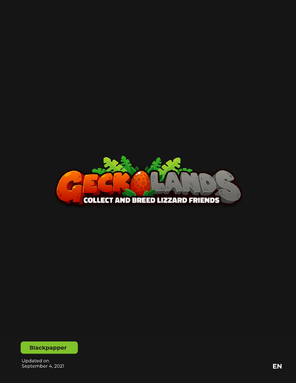

**Blackpapper** 

Updated on<br>September 4, 2021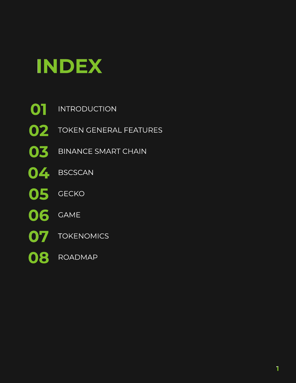

- **01** INTRODUCTION
- **02** TOKEN GENERAL FEATURES
- **03 BINANCE SMART CHAIN**
- **04 BSCSCAN**
- **05 GECKO**
- **06** GAME
- **07 TOKENOMICS**
- **08** ROADMAP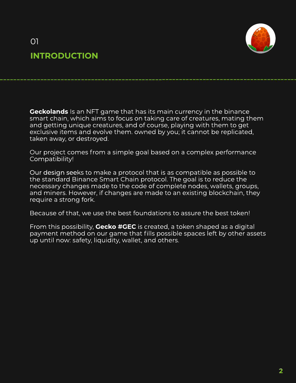



**Geckolands** Is an NFT game that has its main currency in the binance smart chain, which aims to focus on taking care of creatures, mating them and getting unique creatures, and of course, playing with them to get exclusive items and evolve them. owned by you; it cannot be replicated, taken away, or destroyed.

Our project comes from a simple goal based on a complex performance Compatibility!

Our design seeks to make a protocol that is as compatible as possible to the standard Binance Smart Chain protocol. The goal is to reduce the necessary changes made to the code of complete nodes, wallets, groups, and miners. However, if changes are made to an existing blockchain, they require a strong fork.

Because of that, we use the best foundations to assure the best token!

From this possibility, Gecko #GEC is created, a token shaped as a digital payment method on our game that fills possible spaces left by other assets up until now: safety, liquidity, wallet, and others.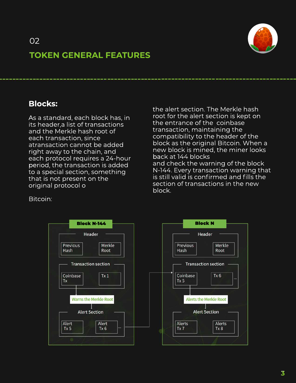



### **TOKENGENERALFEATURES**

### **Blocks:**

As a standard, each block has, in its header, a list of transactions and the Merkle hash root of each transaction, since atransaction cannot be added right away to the chain, and each protocol requires a 24-hour period, the transaction is added to a special section, something that is not present on the original protocol o

the alert section. The Merkle hash root for the alert section is kept on the entrance of the coinbase transaction, maintaining the compatibility to the header of the block as the original Bitcoin. When a new block is mined, the miner looks backat144blocks and check the warning of the block N-144. Every transaction warning that is still valid is confirmed and fills the section of transactions in the new block.

Bitcoin:



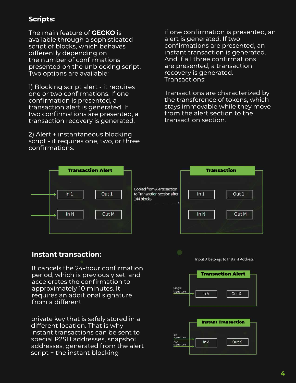### **Scripts:**

The main feature of **GECKO** is available through a sophisticated script of blocks, which behaves differently depending on the number of confirmations presented on the unblocking script. Two options are available:

1) Blocking script alert - it requires one or two confirmations. If one confirmation is presented, a transaction alert is generated. If two confirmations are presented, a transaction recovery is generated.

2) Alert + instantaneous blocking script - it requires one, two, or three confirmations.

if one confirmation is presented, an alert is generated. If two confirmations are presented, an instant transaction is generated. And if all three confirmations are presented, a transaction recovery is generated. Transactions:

Transactions are characterized by the transference of tokens, which stays immovable while they move from the alert section to the transaction section.



### **Instant transaction:**

It cancels the 24-hour confirmation period, which is previously set, and accelerates the confirmation to approximately 10 minutes. It requires an additional signature from a different

private key that is safely stored in a different location. That is why instant transactions can be sent to special P2SH addresses, snapshot addresses, generated from the alert script + the instant blocking

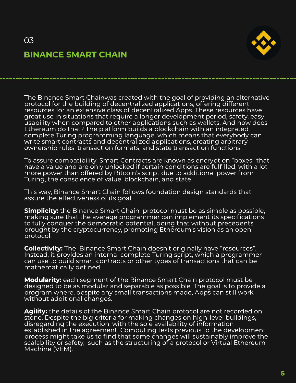### 03 **BINANCE SMART CHAIN**



The Binance Smart Chainwas created with the goal of providing an alternative protocol for the building of decentralized applications, offering different resources for an extensive class of decentralized Apps. These resources have great use in situations that require a longer development period, safety, easy usability when compared to other applications such as wallets. And how does Ethereum do that? The platform builds a blockchain with an integrated complete Turing programming language, which means that everybody can write smart contracts and decentralized applications, creating arbitrary ownership rules, transaction formats, and state transaction functions.

To assure compatibility, Smart Contracts are known as encryption "boxes" that have a value and are only unlocked if certain conditions are fulfilled, with a lot more power than offered by Bitcoin's script due to additional power from Turing, the conscience of value, blockchain, and state.

This way, Binance Smart Chain follows foundation design standards that assure the effectiveness of its goal:

**Simplicity:** the Binance Smart Chain protocol must be as simple as possible, making sure that the average programmer can implement its specifications to fully conquer the democratic potential, doing that without precedents brought by the cryptocurrency, promoting Ethereum's vision as an open protocol.

**Collectivity:** The Binance Smart Chain doesn't originally have "resources". Instead, it provides an internal complete Turing script, which a programmer can use to build smart contracts or other types of transactions that can be mathematically defined.

**Modularity:** each segment of the Binance Smart Chain protocol must be designed to be as modular and separable as possible. The goal is to provide a program where, despite any small transactions made, Apps can still work without additional changes.

Agility: the details of the Binance Smart Chain protocol are not recorded on stone. Despite the big criteria for making changes on high-level buildings, disregarding the execution, with the sole availability of information established in the agreement. Computing tests previous to the development process might take us to find that some changes will sustainably improve the scalability or safety, such as the structuring of a protocol or Virtual Ethereum Machine(VEM).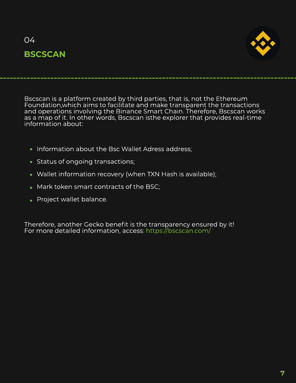### $O<sub>4</sub>$ **BSCSCAN**



Bscscan is a platform created by third parties, that is, not the Ethereum<br>Foundation,which aims to facilitate and make transparent the transactions<br>and operations involving the Binance Smart Chain. Therefore, Bscscan works as a map of it. In other words, Bscscan isthe explorer that provides real-time information about:

- Information about the Bsc Wallet Adress address:
- Status of ongoing transactions;
- Wallet information recovery (when TXN Hash is available);
- Mark token smart contracts of the BSC;
- Project wallet balance.

Therefore, another Gecko benefit is the transparency ensured by it! For more detailed information, access: https://bscscan.com/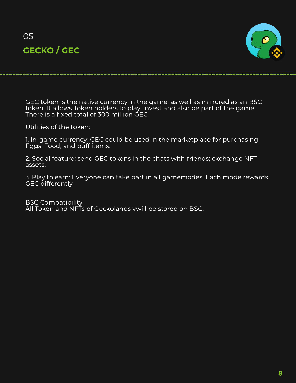



GEC token is the native currency in the game, as well as mirrored as an BSC token. It allows Token holders to play, invest and also be part of the game. There is a fixed total of 300 million GEC.

Utilities of the token:

1. In-game currency: GEC could be used in the marketplace for purchasing Eggs, Food, and buff items.

2. Social feature: send GEC tokens in the chats with friends; exchange NFT assets.

3. Play to earn: Everyone can take part in all gamemodes. Each mode rewards GEC differently

**BSC Compatibility** All Token and NFTs of Geckolands vwill be stored on BSC.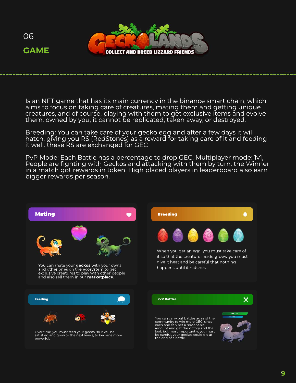



Is an NFT game that has its main currency in the binance smart chain, which aims to focus on taking care of creatures, mating them and getting unique creatures, and of course, playing with them to get exclusive items and evolve them. owned by you; it cannot be replicated, taken away, or destroyed.

Breeding: You can take care of your gecko egg and after a few days it will hatch, giving you RS (RedStones) as a reward for taking care of it and feeding it well. these RS are exchanged for GEC

PvP Mode: Each Battle has a percentage to drop GEC. Multiplayer mode: 1v1, People are fighting with Geckos and attacking with them by turn. the Winner in a match got rewards in token. High placed players in leaderboard also earn bigger rewards per season.

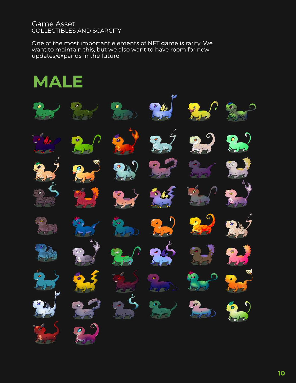#### **Game Asset** COLLECTIBLES AND SCARCITY

One of the most important elements of NFT game is rarity. We want to maintain this, but we also want to have room for new updates/expands in the future.

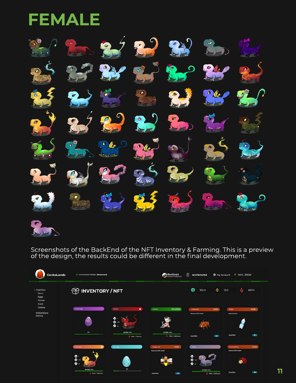# **FEMALE**



Screenshots of the BackEnd of the NFT Inventory & Farming. This is a preview of the design, the results could be different in the final development.

| <b>GeckoLands</b>                             | C Connected Wallet: Metamask                           |                                                             | BscScan                                                                | 倡<br><b>WHITEPAPER</b>                  | <b>@</b> My Account          | + 0x13  3322d                           |              |
|-----------------------------------------------|--------------------------------------------------------|-------------------------------------------------------------|------------------------------------------------------------------------|-----------------------------------------|------------------------------|-----------------------------------------|--------------|
| - Inventory<br>Farm<br>Eggs<br>Stones<br>Food | <b>TO INVENTORY/NFT</b>                                |                                                             |                                                                        | ٠<br>⊙<br>302.0<br>12.0<br>697.0        |                              |                                         |              |
| Ceckos<br>Marketplace<br>Mating               | <b>Purple Egg</b>                                      | Firecko<br>٠<br>$\bullet$<br>۰<br>$-1000$                   | Cowde<br><b>EXCLUSIVE</b>                                              | Cockrosch<br><b>Hastores SON Health</b> | FOOD                         | <b>Water:</b><br><b>Restores thirst</b> | FOOD         |
|                                               | 62%<br>Hamerko                                         | <b>HP 1000 / 1000</b><br>1 1500 / 72Hours<br><b>Sky Coo</b> | <b>HP 1000/1000</b><br>2 7100 / 480 Hours<br><b>FOOD</b><br>Dragon-fly | <b>Quantities</b><br>Rocks              | 29                           | Quantities<br>Coccinellisae             | (76)<br>FOOD |
|                                               | ٠<br>Œ<br>۰<br>۰<br>HP 1000 /1000<br>2 1700 / 136Hours | <b>12%</b>                                                  | Dastores 100% Health                                                   | HP 1000 /1000                           | <b>CALIFORNIA EXPERIMENT</b> | Restores 25% Hashin<br>50<br>Quantities | (543)        |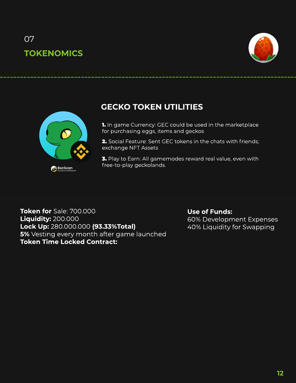## 07 **TOKENOMICS**





### **GECKO TOKEN UTILITIES**

1. In game Currency: GEC could be used in the marketplace for purchasing eggs, items and geckos

2. Social Feature: Sent GEC tokens in the chats with friends; exchange NFT Assets

3. Play to Earn: All gamemodes reward real value, even with free-to-play geckolands.

**Token for** Sale: 700.000 **Liquidity:**200.000 **LockUp:**280.000.000**(93.33%Total) 5%** Vesting every month after game launched **Token Time Locked Contract:** 

#### **Use of Funds:** 60% Development Expenses 40% Liquidity for Swapping